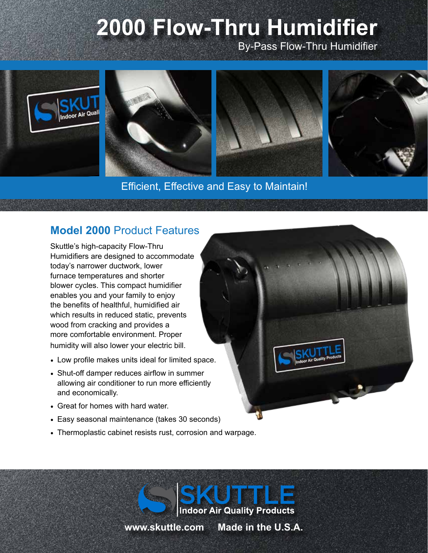# **2000 Flow-Thru Humidifier**

By-Pass Flow-Thru Humidifier



#### Efficient, Effective and Easy to Maintain!

### **Model 2000** Product Features

Skuttle's high-capacity Flow-Thru Humidifiers are designed to accommodate today's narrower ductwork, lower furnace temperatures and shorter blower cycles. This compact humidifier enables you and your family to enjoy the benefits of healthful, humidified air which results in reduced static, prevents wood from cracking and provides a more comfortable environment. Proper humidity will also lower your electric bill.

- Low profile makes units ideal for limited space.
- Shut-off damper reduces airflow in summer allowing air conditioner to run more efficiently and economically.
- Great for homes with hard water.
- Easy seasonal maintenance (takes 30 seconds)
- Thermoplastic cabinet resists rust, corrosion and warpage.